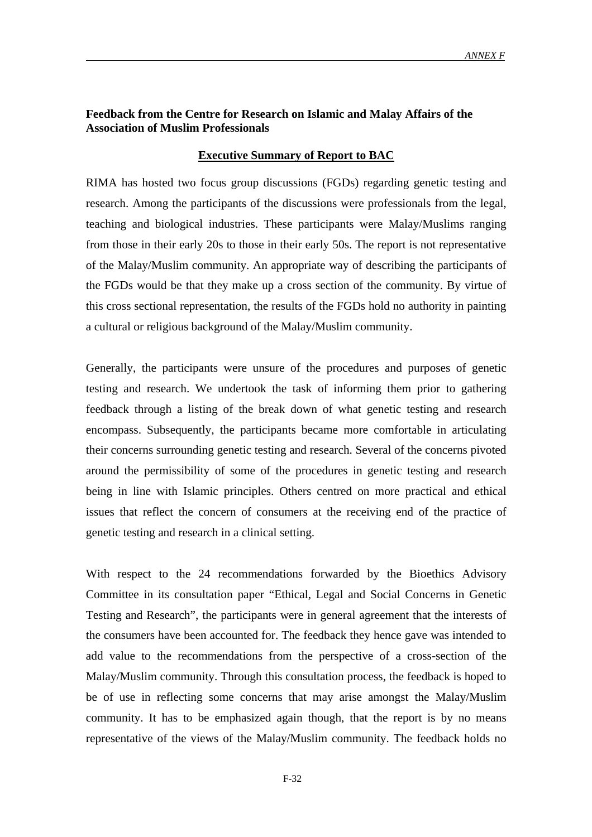# **Feedback from the Centre for Research on Islamic and Malay Affairs of the Association of Muslim Professionals**

# **Executive Summary of Report to BAC**

RIMA has hosted two focus group discussions (FGDs) regarding genetic testing and research. Among the participants of the discussions were professionals from the legal, teaching and biological industries. These participants were Malay/Muslims ranging from those in their early 20s to those in their early 50s. The report is not representative of the Malay/Muslim community. An appropriate way of describing the participants of the FGDs would be that they make up a cross section of the community. By virtue of this cross sectional representation, the results of the FGDs hold no authority in painting a cultural or religious background of the Malay/Muslim community.

Generally, the participants were unsure of the procedures and purposes of genetic testing and research. We undertook the task of informing them prior to gathering feedback through a listing of the break down of what genetic testing and research encompass. Subsequently, the participants became more comfortable in articulating their concerns surrounding genetic testing and research. Several of the concerns pivoted around the permissibility of some of the procedures in genetic testing and research being in line with Islamic principles. Others centred on more practical and ethical issues that reflect the concern of consumers at the receiving end of the practice of genetic testing and research in a clinical setting.

With respect to the 24 recommendations forwarded by the Bioethics Advisory Committee in its consultation paper "Ethical, Legal and Social Concerns in Genetic Testing and Research", the participants were in general agreement that the interests of the consumers have been accounted for. The feedback they hence gave was intended to add value to the recommendations from the perspective of a cross-section of the Malay/Muslim community. Through this consultation process, the feedback is hoped to be of use in reflecting some concerns that may arise amongst the Malay/Muslim community. It has to be emphasized again though, that the report is by no means representative of the views of the Malay/Muslim community. The feedback holds no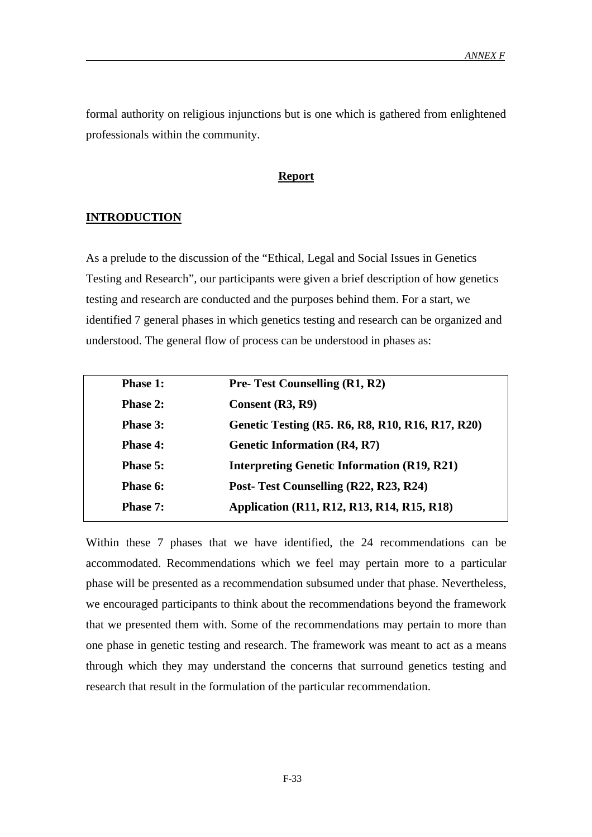formal authority on religious injunctions but is one which is gathered from enlightened professionals within the community.

# **Report**

# **INTRODUCTION**

As a prelude to the discussion of the "Ethical, Legal and Social Issues in Genetics Testing and Research", our participants were given a brief description of how genetics testing and research are conducted and the purposes behind them. For a start, we identified 7 general phases in which genetics testing and research can be organized and understood. The general flow of process can be understood in phases as:

| <b>Phase 1:</b> | <b>Pre-Test Counselling (R1, R2)</b>               |
|-----------------|----------------------------------------------------|
| <b>Phase 2:</b> | Consent (R3, R9)                                   |
| <b>Phase 3:</b> | Genetic Testing (R5. R6, R8, R10, R16, R17, R20)   |
| <b>Phase 4:</b> | <b>Genetic Information (R4, R7)</b>                |
| <b>Phase 5:</b> | <b>Interpreting Genetic Information (R19, R21)</b> |
| Phase 6:        | Post-Test Counselling (R22, R23, R24)              |
| <b>Phase 7:</b> | Application (R11, R12, R13, R14, R15, R18)         |

Within these 7 phases that we have identified, the 24 recommendations can be accommodated. Recommendations which we feel may pertain more to a particular phase will be presented as a recommendation subsumed under that phase. Nevertheless, we encouraged participants to think about the recommendations beyond the framework that we presented them with. Some of the recommendations may pertain to more than one phase in genetic testing and research. The framework was meant to act as a means through which they may understand the concerns that surround genetics testing and research that result in the formulation of the particular recommendation.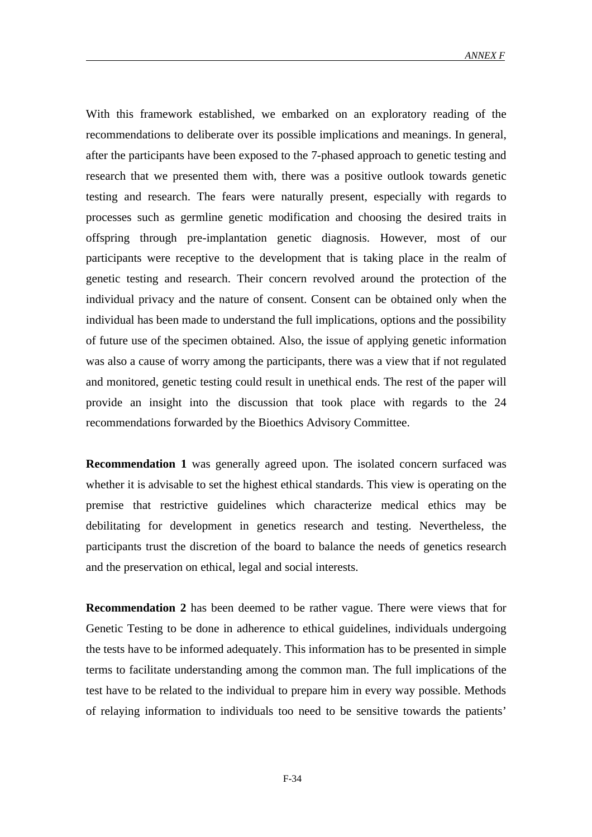With this framework established, we embarked on an exploratory reading of the recommendations to deliberate over its possible implications and meanings. In general, after the participants have been exposed to the 7-phased approach to genetic testing and research that we presented them with, there was a positive outlook towards genetic testing and research. The fears were naturally present, especially with regards to processes such as germline genetic modification and choosing the desired traits in offspring through pre-implantation genetic diagnosis. However, most of our participants were receptive to the development that is taking place in the realm of genetic testing and research. Their concern revolved around the protection of the individual privacy and the nature of consent. Consent can be obtained only when the individual has been made to understand the full implications, options and the possibility of future use of the specimen obtained. Also, the issue of applying genetic information was also a cause of worry among the participants, there was a view that if not regulated and monitored, genetic testing could result in unethical ends. The rest of the paper will provide an insight into the discussion that took place with regards to the 24 recommendations forwarded by the Bioethics Advisory Committee.

**Recommendation 1** was generally agreed upon. The isolated concern surfaced was whether it is advisable to set the highest ethical standards. This view is operating on the premise that restrictive guidelines which characterize medical ethics may be debilitating for development in genetics research and testing. Nevertheless, the participants trust the discretion of the board to balance the needs of genetics research and the preservation on ethical, legal and social interests.

**Recommendation 2** has been deemed to be rather vague. There were views that for Genetic Testing to be done in adherence to ethical guidelines, individuals undergoing the tests have to be informed adequately. This information has to be presented in simple terms to facilitate understanding among the common man. The full implications of the test have to be related to the individual to prepare him in every way possible. Methods of relaying information to individuals too need to be sensitive towards the patients'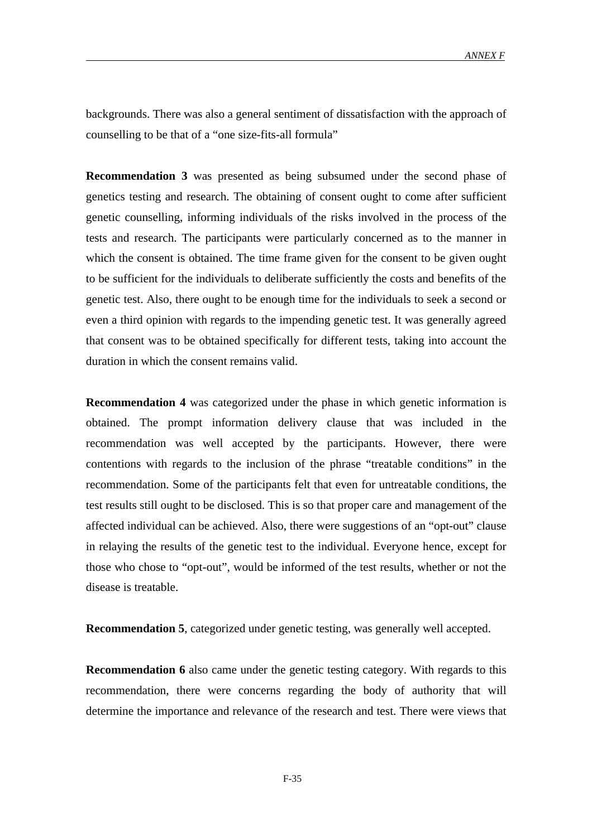backgrounds. There was also a general sentiment of dissatisfaction with the approach of counselling to be that of a "one size-fits-all formula"

**Recommendation 3** was presented as being subsumed under the second phase of genetics testing and research. The obtaining of consent ought to come after sufficient genetic counselling, informing individuals of the risks involved in the process of the tests and research. The participants were particularly concerned as to the manner in which the consent is obtained. The time frame given for the consent to be given ought to be sufficient for the individuals to deliberate sufficiently the costs and benefits of the genetic test. Also, there ought to be enough time for the individuals to seek a second or even a third opinion with regards to the impending genetic test. It was generally agreed that consent was to be obtained specifically for different tests, taking into account the duration in which the consent remains valid.

**Recommendation 4** was categorized under the phase in which genetic information is obtained. The prompt information delivery clause that was included in the recommendation was well accepted by the participants. However, there were contentions with regards to the inclusion of the phrase "treatable conditions" in the recommendation. Some of the participants felt that even for untreatable conditions, the test results still ought to be disclosed. This is so that proper care and management of the affected individual can be achieved. Also, there were suggestions of an "opt-out" clause in relaying the results of the genetic test to the individual. Everyone hence, except for those who chose to "opt-out", would be informed of the test results, whether or not the disease is treatable.

**Recommendation 5**, categorized under genetic testing, was generally well accepted.

**Recommendation 6** also came under the genetic testing category. With regards to this recommendation, there were concerns regarding the body of authority that will determine the importance and relevance of the research and test. There were views that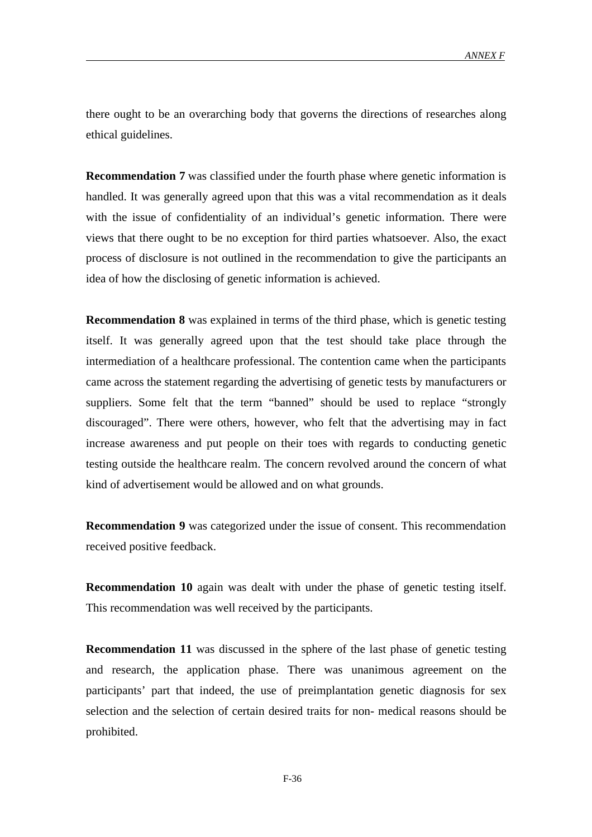there ought to be an overarching body that governs the directions of researches along ethical guidelines.

**Recommendation 7** was classified under the fourth phase where genetic information is handled. It was generally agreed upon that this was a vital recommendation as it deals with the issue of confidentiality of an individual's genetic information. There were views that there ought to be no exception for third parties whatsoever. Also, the exact process of disclosure is not outlined in the recommendation to give the participants an idea of how the disclosing of genetic information is achieved.

**Recommendation 8** was explained in terms of the third phase, which is genetic testing itself. It was generally agreed upon that the test should take place through the intermediation of a healthcare professional. The contention came when the participants came across the statement regarding the advertising of genetic tests by manufacturers or suppliers. Some felt that the term "banned" should be used to replace "strongly discouraged". There were others, however, who felt that the advertising may in fact increase awareness and put people on their toes with regards to conducting genetic testing outside the healthcare realm. The concern revolved around the concern of what kind of advertisement would be allowed and on what grounds.

**Recommendation 9** was categorized under the issue of consent. This recommendation received positive feedback.

**Recommendation 10** again was dealt with under the phase of genetic testing itself. This recommendation was well received by the participants.

**Recommendation 11** was discussed in the sphere of the last phase of genetic testing and research, the application phase. There was unanimous agreement on the participants' part that indeed, the use of preimplantation genetic diagnosis for sex selection and the selection of certain desired traits for non- medical reasons should be prohibited.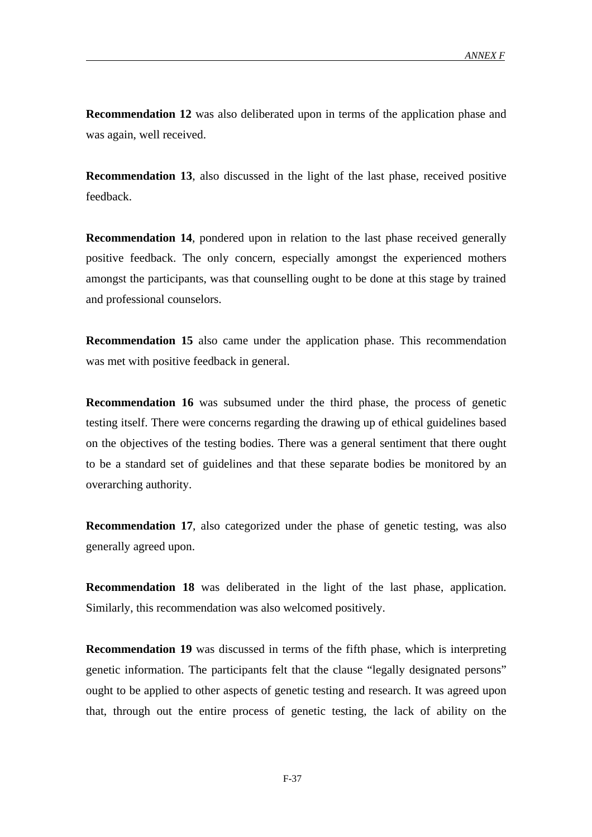**Recommendation 12** was also deliberated upon in terms of the application phase and was again, well received.

**Recommendation 13**, also discussed in the light of the last phase, received positive feedback.

**Recommendation 14**, pondered upon in relation to the last phase received generally positive feedback. The only concern, especially amongst the experienced mothers amongst the participants, was that counselling ought to be done at this stage by trained and professional counselors.

**Recommendation 15** also came under the application phase. This recommendation was met with positive feedback in general.

**Recommendation 16** was subsumed under the third phase, the process of genetic testing itself. There were concerns regarding the drawing up of ethical guidelines based on the objectives of the testing bodies. There was a general sentiment that there ought to be a standard set of guidelines and that these separate bodies be monitored by an overarching authority.

**Recommendation 17**, also categorized under the phase of genetic testing, was also generally agreed upon.

**Recommendation 18** was deliberated in the light of the last phase, application. Similarly, this recommendation was also welcomed positively.

**Recommendation 19** was discussed in terms of the fifth phase, which is interpreting genetic information. The participants felt that the clause "legally designated persons" ought to be applied to other aspects of genetic testing and research. It was agreed upon that, through out the entire process of genetic testing, the lack of ability on the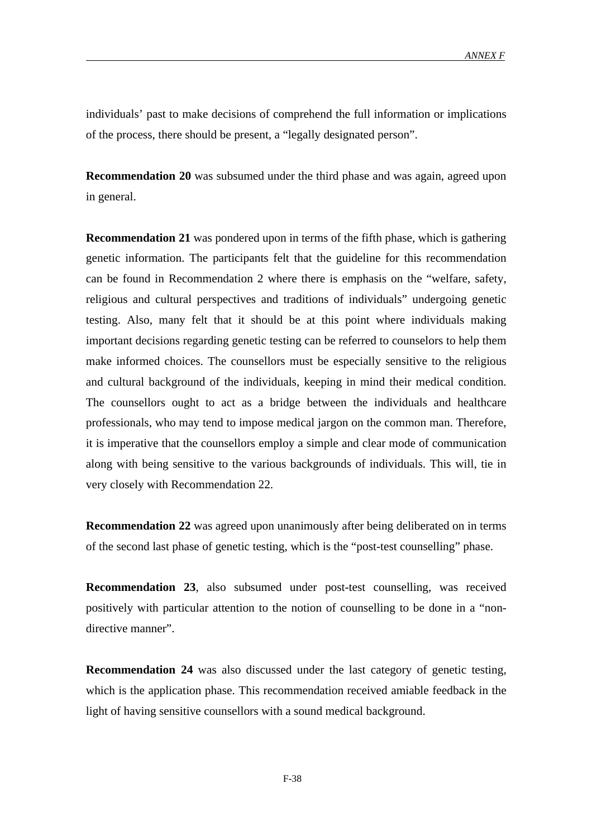individuals' past to make decisions of comprehend the full information or implications of the process, there should be present, a "legally designated person".

**Recommendation 20** was subsumed under the third phase and was again, agreed upon in general.

**Recommendation 21** was pondered upon in terms of the fifth phase, which is gathering genetic information. The participants felt that the guideline for this recommendation can be found in Recommendation 2 where there is emphasis on the "welfare, safety, religious and cultural perspectives and traditions of individuals" undergoing genetic testing. Also, many felt that it should be at this point where individuals making important decisions regarding genetic testing can be referred to counselors to help them make informed choices. The counsellors must be especially sensitive to the religious and cultural background of the individuals, keeping in mind their medical condition. The counsellors ought to act as a bridge between the individuals and healthcare professionals, who may tend to impose medical jargon on the common man. Therefore, it is imperative that the counsellors employ a simple and clear mode of communication along with being sensitive to the various backgrounds of individuals. This will, tie in very closely with Recommendation 22.

**Recommendation 22** was agreed upon unanimously after being deliberated on in terms of the second last phase of genetic testing, which is the "post-test counselling" phase.

**Recommendation 23**, also subsumed under post-test counselling, was received positively with particular attention to the notion of counselling to be done in a "nondirective manner".

**Recommendation 24** was also discussed under the last category of genetic testing, which is the application phase. This recommendation received amiable feedback in the light of having sensitive counsellors with a sound medical background.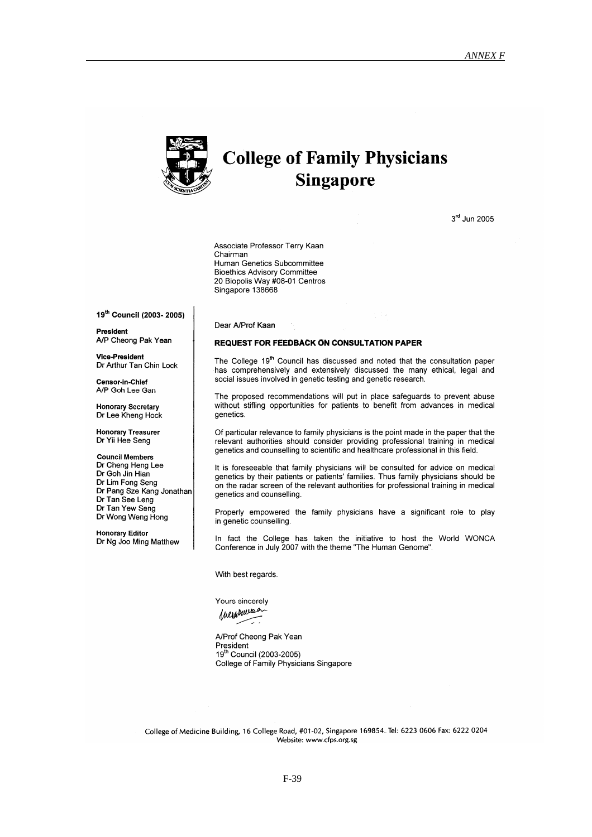

# **College of Family Physicians Singapore**

3rd Jun 2005

Associate Professor Terry Kaan Chairman Human Genetics Subcommittee **Bioethics Advisory Committee** 20 Biopolis Way #08-01 Centros Singapore 138668

19th Council (2003-2005)

President A/P Cheong Pak Yean

**Vice-President** Dr Arthur Tan Chin Lock

Censor-in-Chief A/P Goh Lee Gan

**Honorary Secretary** Dr Lee Kheng Hock

**Honorary Treasurer** Dr Yii Hee Seng

**Council Members** Dr Cheng Heng Lee Dr Goh Jin Hian Dr Lim Fong Seng Dr Pang Sze Kang Jonathan Dr Tan See Leng Dr Tan Yew Seng Dr Wong Weng Hong

**Honorary Editor** Dr Ng Joo Ming Matthew Dear A/Prof Kaan

#### **REQUEST FOR FEEDBACK ON CONSULTATION PAPER**

The College 19<sup>th</sup> Council has discussed and noted that the consultation paper has comprehensively and extensively discussed the many ethical, legal and social issues involved in genetic testing and genetic research.

The proposed recommendations will put in place safeguards to prevent abuse without stifling opportunities for patients to benefit from advances in medical genetics.

Of particular relevance to family physicians is the point made in the paper that the relevant authorities should consider providing professional training in medical genetics and counselling to scientific and healthcare professional in this field.

It is foreseeable that family physicians will be consulted for advice on medical genetics by their patients or patients' families. Thus family physicians should be on the radar screen of the relevant authorities for professional training in medical genetics and counselling.

Properly empowered the family physicians have a significant role to play in genetic counselling.

In fact the College has taken the initiative to host the World WONCA Conference in July 2007 with the theme "The Human Genome".

With best regards.

Yours sincerely Inegenera

ー.

A/Prof Cheong Pak Yean President 19th Council (2003-2005) College of Family Physicians Singapore

College of Medicine Building, 16 College Road, #01-02, Singapore 169854. Tel: 6223 0606 Fax: 6222 0204 Website: www.cfps.org.sg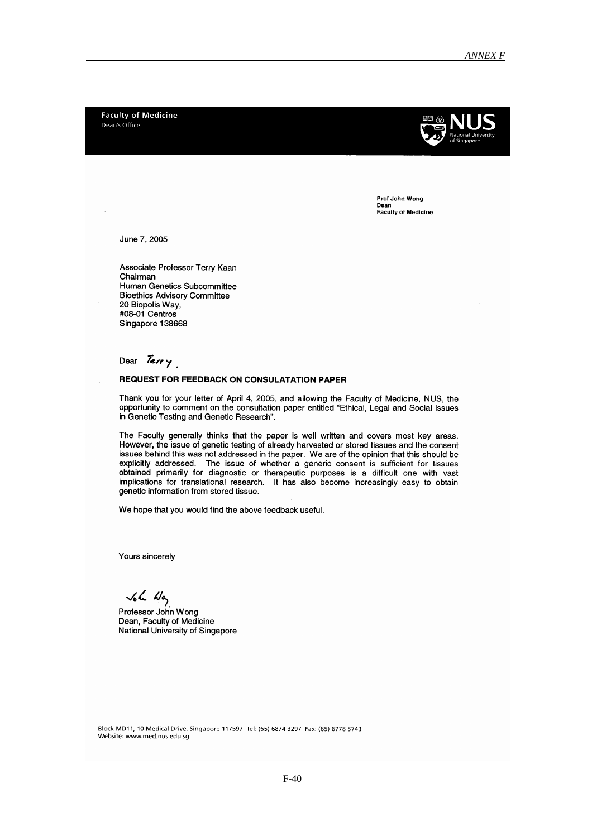**Faculty of Medicine** Dean's Office



Prof John Wong Dean Faculty of Medicine

June 7, 2005

Associate Professor Terry Kaan Chairman Human Genetics Subcommittee **Bioethics Advisory Committee** 20 Biopolis Way, #08-01 Centros Singapore 138668

# Dear Terry

# **REQUEST FOR FEEDBACK ON CONSULATATION PAPER**

Thank you for your letter of April 4, 2005, and allowing the Faculty of Medicine, NUS, the opportunity to comment on the consultation paper entitled "Ethical, Legal and Social issues in Genetic Testing and Genetic Research".

The Faculty generally thinks that the paper is well written and covers most key areas. However, the issue of genetic testing of already harvested or stored tissues and the consent issues behind this was not addressed in the paper. We are of the opinion that this should be explicitly addressed. The issue of whether a generic consent is sufficient for tissues<br>obtained primarily for diagnostic or therapeutic purposes is a difficult one with vast implications for translational research. It has also become increasingly easy to obtain genetic information from stored tissue.

We hope that you would find the above feedback useful.

Yours sincerely

 $\sqrt{2}$   $\frac{1}{2}$ <br>Professor John Wong<br>Dean, Faculty of Medicine National University of Singapore

Block MD11, 10 Medical Drive, Singapore 117597 Tel: (65) 6874 3297 Fax: (65) 6778 5743 Website: www.med.nus.edu.sg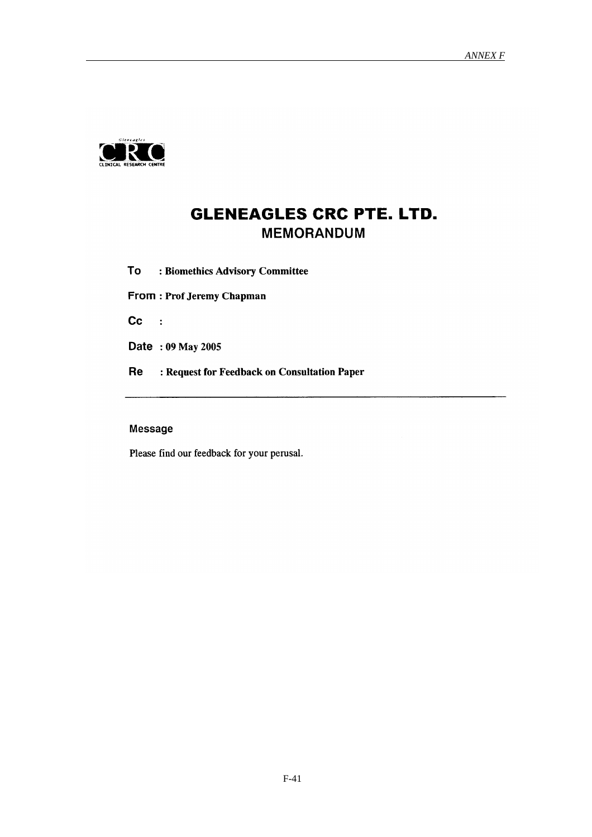

# **GLENEAGLES CRC PTE. LTD. MEMORANDUM**

To : Biomethics Advisory Committee

From: Prof Jeremy Chapman

 $Cc$  :

Date: 09 May 2005

Re : Request for Feedback on Consultation Paper

# Message

Please find our feedback for your perusal.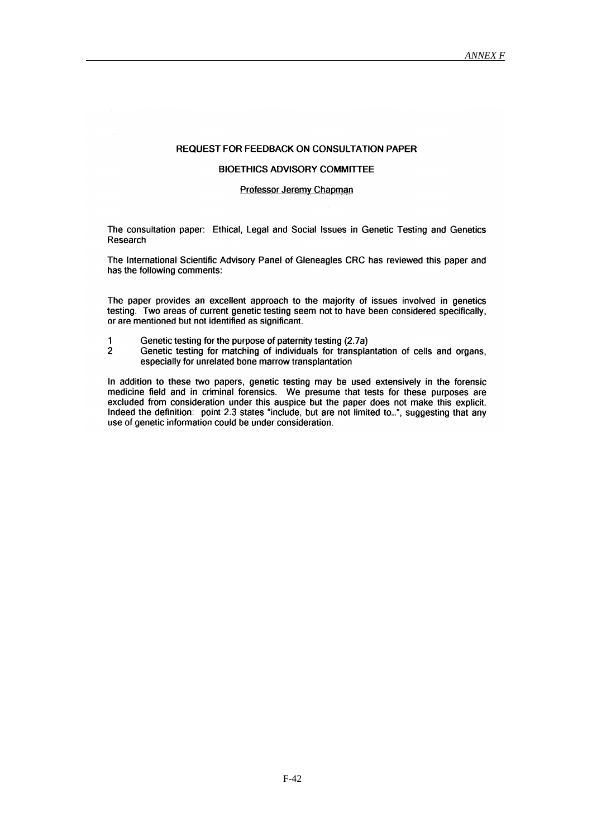# **REQUEST FOR FEEDBACK ON CONSULTATION PAPER**

# **BIOETHICS ADVISORY COMMITTEE**

# **Professor Jeremy Chapman**

The consultation paper: Ethical, Legal and Social Issues in Genetic Testing and Genetics Research

The International Scientific Advisory Panel of Gleneagles CRC has reviewed this paper and has the following comments:

The paper provides an excellent approach to the majority of issues involved in genetics testing. Two areas of current genetic testing seem not to have been considered specifically. or are mentioned but not identified as significant.

- Genetic testing for the purpose of paternity testing (2.7a)  $\overline{\mathbf{1}}$
- $\overline{2}$ Genetic testing for matching of individuals for transplantation of cells and organs, especially for unrelated bone marrow transplantation

In addition to these two papers, genetic testing may be used extensively in the forensic medicine field and in criminal forensics. We presume that tests for these purposes are excluded from consideration under this auspice but the paper does not make this explicit. Indeed the definition: point 2.3 states "include, but are not limited to...", suggesting that any use of genetic information could be under consideration.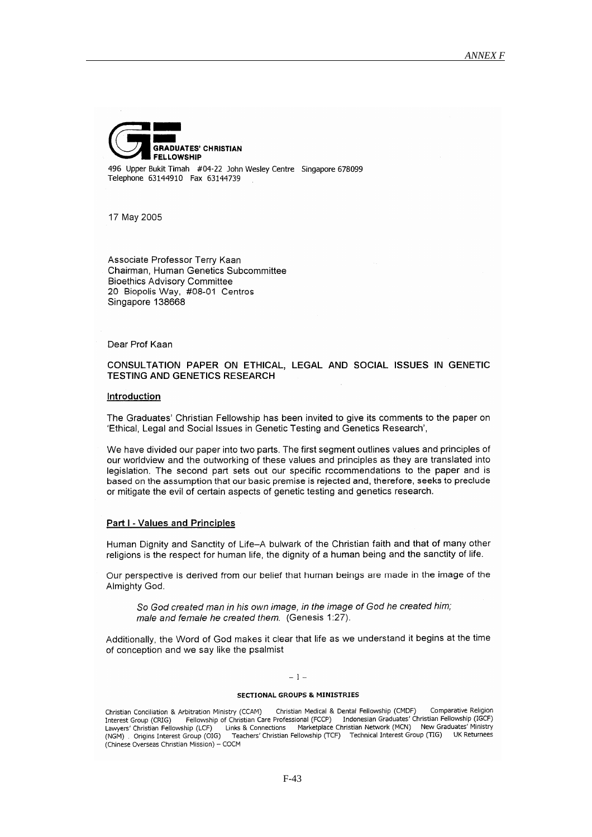

496 Upper Bukit Timah #04-22 John Wesley Centre Singapore 678099 Telephone 63144910 Fax 63144739

17 May 2005

Associate Professor Terry Kaan Chairman, Human Genetics Subcommittee **Bioethics Advisory Committee** 20 Biopolis Way, #08-01 Centros Singapore 138668

Dear Prof Kaan

# CONSULTATION PAPER ON ETHICAL, LEGAL AND SOCIAL ISSUES IN GENETIC **TESTING AND GENETICS RESEARCH**

# Introduction

The Graduates' Christian Fellowship has been invited to give its comments to the paper on 'Ethical, Legal and Social Issues in Genetic Testing and Genetics Research',

We have divided our paper into two parts. The first segment outlines values and principles of our worldview and the outworking of these values and principles as they are translated into legislation. The second part sets out our specific recommendations to the paper and is based on the assumption that our basic premise is rejected and, therefore, seeks to preclude or mitigate the evil of certain aspects of genetic testing and genetics research.

#### Part I - Values and Principles

Human Dignity and Sanctity of Life-A bulwark of the Christian faith and that of many other religions is the respect for human life, the dignity of a human being and the sanctity of life.

Our perspective is derived from our belief that human beings are made in the image of the Almighty God.

So God created man in his own image, in the image of God he created him; male and female he created them. (Genesis 1:27).

Additionally, the Word of God makes it clear that life as we understand it begins at the time of conception and we say like the psalmist

#### $-1-$

#### **SECTIONAL GROUPS & MINISTRIES**

Christian Medical & Dental Fellowship (CMDF) Comparative Religion Christian Conciliation & Arbitration Ministry (CCAM) Fellowship of Christian Care Professional (FCCP) Indonesian Graduates' Christian Fellowship (IGCF)<br>hip (LCF) Links & Connections Marketplace Christian Network (MCN) New Graduates' Ministry Interest Group (CRIG) Surfaced The Carry of Surface Profe<br>(NGM) Dinks & Connections<br>(NGM) Dingins Interest Group (OIG) Teachers' Christian<br>(Chinese Overseas Christian) Teachers' Christian Fellowship (TCF) Technical Interest Group (TIG) UK Returnees (Chinese Overseas Christian Mission) - COCM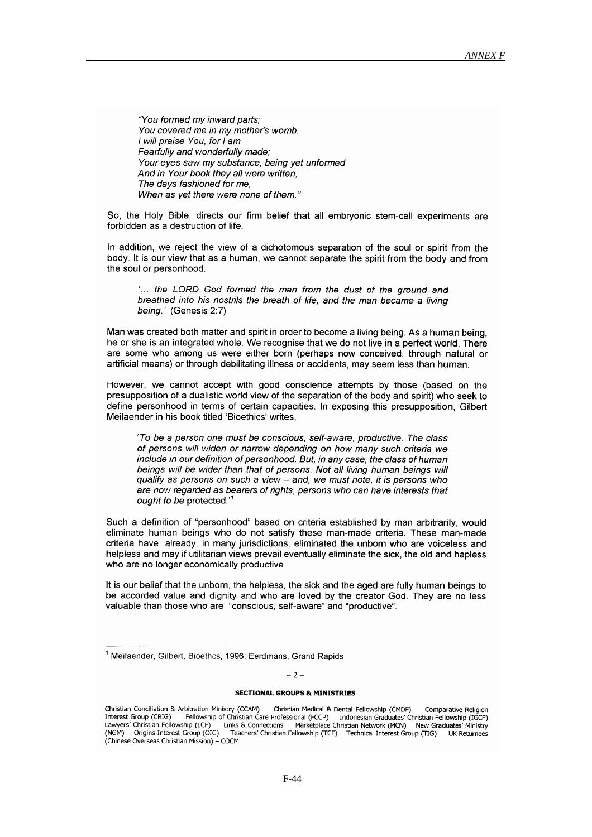"You formed my inward parts: You covered me in my mother's womb. I will praise You, for I am Fearfully and wonderfully made: Your eves saw my substance, being yet unformed And in Your book they all were written. The days fashioned for me. When as yet there were none of them."

So. the Holy Bible, directs our firm belief that all embryonic stem-cell experiments are forbidden as a destruction of life.

In addition, we reject the view of a dichotomous separation of the soul or spirit from the body. It is our view that as a human, we cannot separate the spirit from the body and from the soul or personhood.

"... the LORD God formed the man from the dust of the ground and breathed into his nostrils the breath of life, and the man became a living being.' (Genesis 2:7)

Man was created both matter and spirit in order to become a living being. As a human being, he or she is an integrated whole. We recognise that we do not live in a perfect world. There are some who among us were either born (perhaps now conceived, through natural or artificial means) or through debilitating illness or accidents, may seem less than human.

However, we cannot accept with good conscience attempts by those (based on the presupposition of a dualistic world view of the separation of the body and spirit) who seek to define personhood in terms of certain capacities. In exposing this presupposition, Gilbert Meilaender in his book titled 'Bioethics' writes,

'To be a person one must be conscious, self-aware, productive. The class of persons will widen or narrow depending on how many such criteria we include in our definition of personhood. But, in any case, the class of human beings will be wider than that of persons. Not all living human beings will qualify as persons on such a view - and, we must note, it is persons who are now regarded as bearers of rights, persons who can have interests that ought to be protected.<sup>1</sup>

Such a definition of "personhood" based on criteria established by man arbitrarily, would eliminate human beings who do not satisfy these man-made criteria. These man-made criteria have, already, in many jurisdictions, eliminated the unborn who are voiceless and helpless and may if utilitarian views prevail eventually eliminate the sick, the old and hapless who are no longer economically productive

It is our belief that the unborn, the helpless, the sick and the aged are fully human beings to be accorded value and dignity and who are loved by the creator God. They are no less valuable than those who are "conscious, self-aware" and "productive".

 $-2-$ 

#### **SECTIONAL GROUPS & MINISTRIES**

<sup>&</sup>lt;sup>1</sup> Meilaender, Gilbert, Bioethcs, 1996, Eerdmans, Grand Rapids

Christian Conciliation & Arbitration Ministry (CCAM) Christian Medical & Dental Fellowship (CMDF) Comparative Religion Sellowship of Christian Care Professional (FCCP) Indonesian Graduates' Christian Fellowship of Christian Care Professional (FCCP) Indonesian Graduates' Christian Fellowship (IGCF)<br>Ship (LCF) Links & Connections Marketplace Interest Group (CRIG) Connections Marketplace Christian Network (MCN) New Grand Links & Connections Marketplace Christian Network (MCN) New Grand Teachers' Christian Fellowship (TCF) Technical Interest Group (TIG) Lawyers' Christian Fellowship (LCF) (NGM) Origins Interest Group (OIG) UK Returnees (Chinese Overseas Christian Mission) - COCM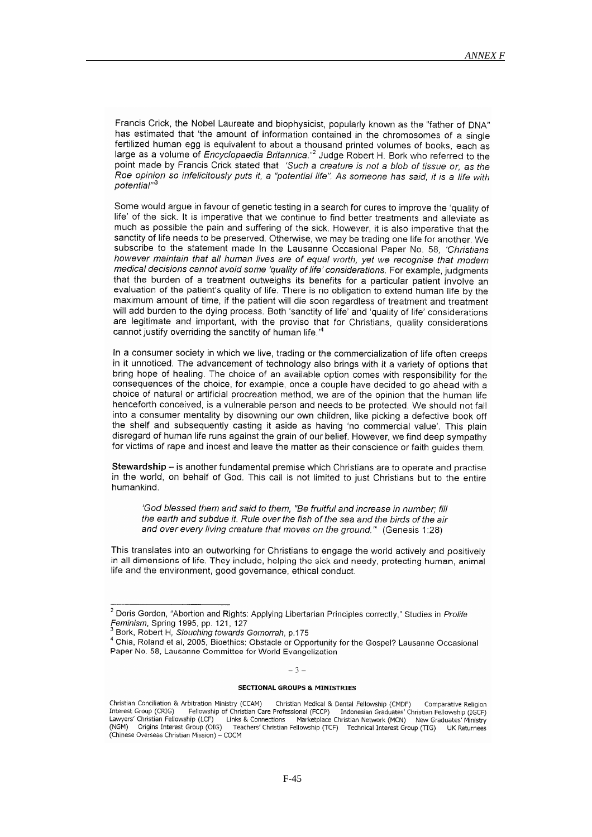Francis Crick, the Nobel Laureate and biophysicist, popularly known as the "father of DNA" has estimated that 'the amount of information contained in the chromosomes of a single fertilized human egg is equivalent to about a thousand printed volumes of books, each as large as a volume of Encyclopaedia Britannica." Judge Robert H. Bork who referred to the point made by Francis Crick stated that 'Such a creature is not a blob of tissue or, as the Roe opinion so infelicitously puts it, a "potential life". As someone has said, it is a life with potential"

Some would argue in favour of genetic testing in a search for cures to improve the 'quality of life' of the sick. It is imperative that we continue to find better treatments and alleviate as much as possible the pain and suffering of the sick. However, it is also imperative that the sanctity of life needs to be preserved. Otherwise, we may be trading one life for another. We subscribe to the statement made in the Lausanne Occasional Paper No. 58. 'Christians however maintain that all human lives are of equal worth, yet we recognise that modern medical decisions cannot avoid some 'quality of life' considerations. For example, judgments that the burden of a treatment outweighs its benefits for a particular patient involve an evaluation of the patient's quality of life. There is no obligation to extend human life by the maximum amount of time, if the patient will die soon regardless of treatment and treatment will add burden to the dving process. Both 'sanctity of life' and 'quality of life' considerations are legitimate and important, with the proviso that for Christians, quality considerations cannot justify overriding the sanctity of human life.<sup>14</sup>

In a consumer society in which we live, trading or the commercialization of life often creeps in it unnoticed. The advancement of technology also brings with it a variety of options that bring hope of healing. The choice of an available option comes with responsibility for the consequences of the choice, for example, once a couple have decided to go ahead with a choice of natural or artificial procreation method, we are of the opinion that the human life henceforth conceived, is a vulnerable person and needs to be protected. We should not fall into a consumer mentality by disowning our own children, like picking a defective book off the shelf and subsequently casting it aside as having 'no commercial value'. This plain disregard of human life runs against the grain of our belief. However, we find deep sympathy for victims of rape and incest and leave the matter as their conscience or faith quides them

Stewardship - is another fundamental premise which Christians are to operate and practise in the world, on behalf of God. This call is not limited to just Christians but to the entire humankind

'God blessed them and said to them. "Be fruitful and increase in number: fill the earth and subdue it. Rule over the fish of the sea and the birds of the air and over every living creature that moves on the ground." (Genesis 1:28)

This translates into an outworking for Christians to engage the world actively and positively in all dimensions of life. They include, helping the sick and needy, protecting human, animal life and the environment, good governance, ethical conduct.

 $-3-$ 

# **SECTIONAL GROUPS & MINISTRIES**

<sup>&</sup>lt;sup>2</sup> Doris Gordon, "Abortion and Rights: Applying Libertarian Principles correctly," Studies in Prolife Feminism, Spring 1995, pp. 121, 127

Bork, Robert H, Slouching towards Gomorrah, p.175

<sup>4</sup> Chia, Roland et al, 2005, Bioethics: Obstacle or Opportunity for the Gospel? Lausanne Occasional Paper No. 58, Lausanne Committee for World Evangelization

Christian Conciliation & Arbitration Ministry (CCAM) Christian Medical & Dental Fellowship (CMDF) Comparative Religion Interest Group (CRIG) Fellowship of Christian Care Professional (FCCP) Indonesian Graduates' Christian Fellowship (IGCF) Consulation Care Profes (NGM) Origins Interest Group (CCF) Links & Connections<br>(NGM) Origins Interest Group (OIG) Teachers' Chalating<br>(Chinese Overseas Chalating) Marketplace Christian Network (MCN) New Graduates' Ministry Teachers' Christian Fellowship (TCF) Technical Interest Group (TIG) LIK Returnees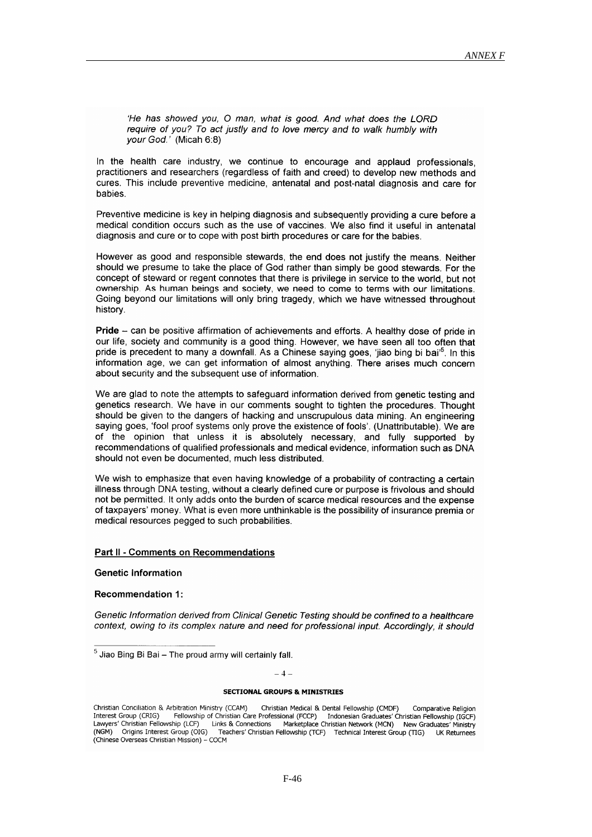'He has showed you. O man, what is good. And what does the LORD require of you? To act justly and to love mercy and to walk humbly with your God.' (Micah 6:8)

In the health care industry, we continue to encourage and applaud professionals. practitioners and researchers (regardless of faith and creed) to develop new methods and cures. This include preventive medicine, antenatal and post-natal diagnosis and care for babies.

Preventive medicine is key in helping diagnosis and subsequently providing a cure before a medical condition occurs such as the use of vaccines. We also find it useful in antenatal diagnosis and cure or to cope with post birth procedures or care for the babies.

However as good and responsible stewards, the end does not justify the means. Neither should we presume to take the place of God rather than simply be good stewards. For the concept of steward or regent connotes that there is privilege in service to the world, but not ownership. As human beings and society, we need to come to terms with our limitations. Going beyond our limitations will only bring tragedy, which we have witnessed throughout history.

Pride - can be positive affirmation of achievements and efforts. A healthy dose of pride in our life, society and community is a good thing. However, we have seen all too often that pride is precedent to many a downfall. As a Chinese saying goes, 'jiao bing bi bai'<sup>5</sup>. In this information age, we can get information of almost anything. There arises much concern about security and the subsequent use of information.

We are glad to note the attempts to safeguard information derived from genetic testing and genetics research. We have in our comments sought to tighten the procedures. Thought should be given to the dangers of hacking and unscrupulous data mining. An engineering saying goes, 'fool proof systems only prove the existence of fools'. (Unattributable). We are of the opinion that unless it is absolutely necessary, and fully supported by recommendations of qualified professionals and medical evidence, information such as DNA should not even be documented, much less distributed.

We wish to emphasize that even having knowledge of a probability of contracting a certain illness through DNA testing, without a clearly defined cure or purpose is frivolous and should not be permitted. It only adds onto the burden of scarce medical resources and the expense of taxpayers' money. What is even more unthinkable is the possibility of insurance premia or medical resources pegged to such probabilities.

#### Part II - Comments on Recommendations

**Genetic Information** 

#### **Recommendation 1:**

Genetic Information derived from Clinical Genetic Testing should be confined to a healthcare context, owing to its complex nature and need for professional input. Accordingly, it should

# $= 4 -$

#### **SECTIONAL GROUPS & MINISTRIES**

<sup>&</sup>lt;sup>5</sup> Jiao Bing Bi Bai - The proud army will certainly fall.

Christian Conciliation & Arbitration Ministry (CCAM) Christian Medical & Dental Fellowship (CMDF) Comparative Religion Different of Curristian Care Professional (FCCP) Indonesian Graduates' Christian Fellowship (IGCF)<br>Ship (LCF) Links & Connections Marketplace Christian Network (MCN) New Graduates' Ministry Interest Group (CRIG) Lawyers' Christian Fellowship (LCF) Teachers' Christian Fellowship (TCF) Technical Interest Group (TIG) (NGM) Origins Interest Group (OIG) UK Returnees (Chinese Overseas Christian Mission) - COCM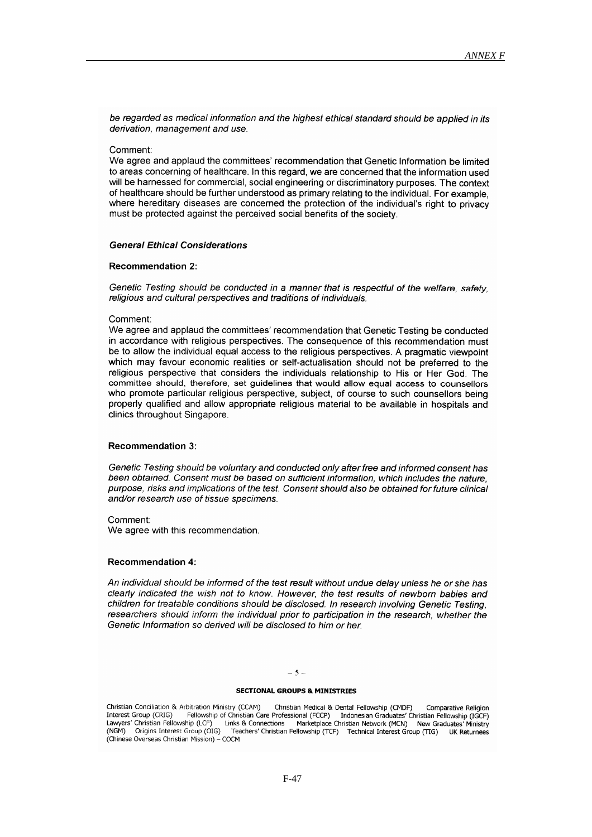be regarded as medical information and the highest ethical standard should be applied in its derivation, management and use.

#### Comment:

We agree and applaud the committees' recommendation that Genetic Information be limited to areas concerning of healthcare. In this regard, we are concerned that the information used will be harnessed for commercial, social engineering or discriminatory purposes. The context of healthcare should be further understood as primary relating to the individual. For example, where hereditary diseases are concerned the protection of the individual's right to privacy must be protected against the perceived social benefits of the society.

# **General Ethical Considerations**

# **Recommendation 2:**

Genetic Testing should be conducted in a manner that is respectful of the welfare, safety religious and cultural perspectives and traditions of individuals.

# Comment:

We agree and applaud the committees' recommendation that Genetic Testing be conducted in accordance with religious perspectives. The consequence of this recommendation must be to allow the individual equal access to the religious perspectives. A pragmatic viewpoint which may favour economic realities or self-actualisation should not be preferred to the religious perspective that considers the individuals relationship to His or Her God. The committee should, therefore, set guidelines that would allow equal access to counsellors who promote particular religious perspective, subject, of course to such counsellors being properly qualified and allow appropriate religious material to be available in hospitals and clinics throughout Singapore.

#### **Recommendation 3:**

Genetic Testing should be voluntary and conducted only after free and informed consent has been obtained. Consent must be based on sufficient information, which includes the nature. purpose, risks and implications of the test. Consent should also be obtained for future clinical and/or research use of tissue specimens.

#### Comment:

We agree with this recommendation.

# **Recommendation 4:**

An individual should be informed of the test result without undue delay unless he or she has clearly indicated the wish not to know. However, the test results of newborn babies and children for treatable conditions should be disclosed. In research involving Genetic Testing, researchers should inform the individual prior to participation in the research, whether the Genetic Information so derived will be disclosed to him or her.

# $-5-$

# **SECTIONAL GROUPS & MINISTRIES**

Christian Conciliation & Arbitration Ministry (CCAM) Christian Medical & Dental Fellowship (CMDF) Comparative Religion Exploration in the synchromometric contraction of the contract of the contract of Christian Care Professional (FCCP) Indonesian Graduates' Christian Fellowship (IGCF)<br>hip (LCF) Links & Connections Marketplace Christian Net Interest Group (CRIG) Lawyers' Christian Fellowship (LCF) (NGM) Origins Interest Group (OIG) Teachers' Christian Fellowship (TCF) Technical Interest Group (TIG) UK Returnees (Chinese Overseas Christian Mission) - COCM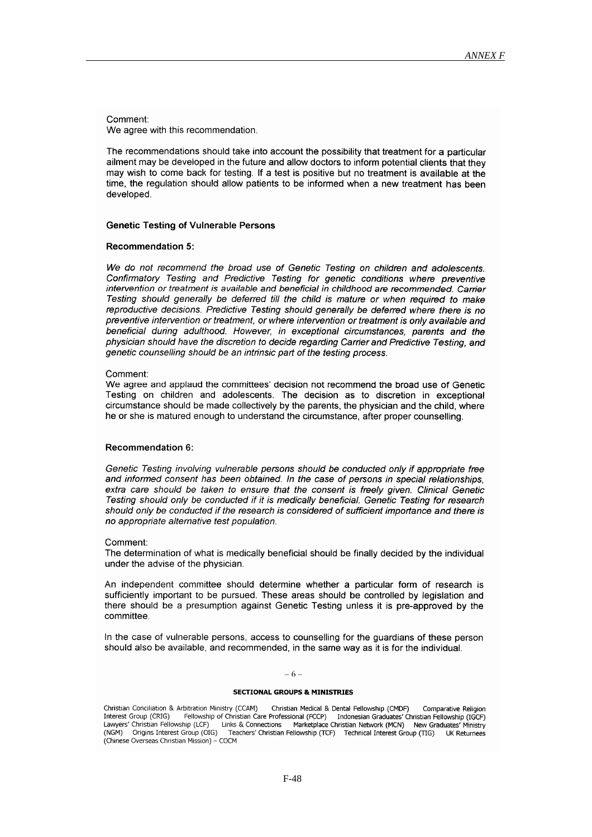Comment:

We agree with this recommendation.

The recommendations should take into account the possibility that treatment for a particular ailment may be developed in the future and allow doctors to inform potential clients that they may wish to come back for testing. If a test is positive but no treatment is available at the time, the regulation should allow patients to be informed when a new treatment has been developed.

### **Genetic Testing of Vulnerable Persons**

# **Recommendation 5:**

We do not recommend the broad use of Genetic Testing on children and adolescents. Confirmatory Testing and Predictive Testing for genetic conditions where preventive intervention or treatment is available and beneficial in childhood are recommended. Carrier Testing should generally be deferred till the child is mature or when required to make reproductive decisions. Predictive Testing should generally be deferred where there is no preventive intervention or treatment, or where intervention or treatment is only available and beneficial during adulthood. However, in exceptional circumstances, parents and the physician should have the discretion to decide regarding Carrier and Predictive Testing, and genetic counselling should be an intrinsic part of the testing process.

# Comment:

We agree and applaud the committees' decision not recommend the broad use of Genetic Testing on children and adolescents. The decision as to discretion in exceptional circumstance should be made collectively by the parents, the physician and the child, where he or she is matured enough to understand the circumstance, after proper counselling.

# **Recommendation 6:**

Genetic Testing involving vulnerable persons should be conducted only if appropriate free and informed consent has been obtained. In the case of persons in special relationships. extra care should be taken to ensure that the consent is freely given. Clinical Genetic Testing should only be conducted if it is medically beneficial. Genetic Testing for research should only be conducted if the research is considered of sufficient importance and there is no appropriate alternative test population.

# Comment:

The determination of what is medically beneficial should be finally decided by the individual under the advise of the physician.

An independent committee should determine whether a particular form of research is sufficiently important to be pursued. These areas should be controlled by legislation and there should be a presumption against Genetic Testing unless it is pre-approved by the committee.

In the case of vulnerable persons, access to counselling for the guardians of these person should also be available, and recommended, in the same way as it is for the individual.

#### $-6-$

#### **SECTIONAL GROUPS & MINISTRIES**

Christian Conciliation & Arbitration Ministry (CCAM) Christian Medical & Dental Fellowship (CMDF) Comparative Religion Fellowship of Christian Care Professional (FCCP) Indonesian Graduates' Christian Fellowship (IGCF)<br>hip (LCF) Links & Connections Marketplace Christian Network (MCN) New Graduates' Ministry Interest Group (CRIG) Lawyers' Christian Fellowship (LCF) Teachers' Christian Fellowship (TCF) Technical Interest Group (TIG) Origins Interest Group (OIG) (NGM) UK Returnees (Chinese Overseas Christian Mission) - COCM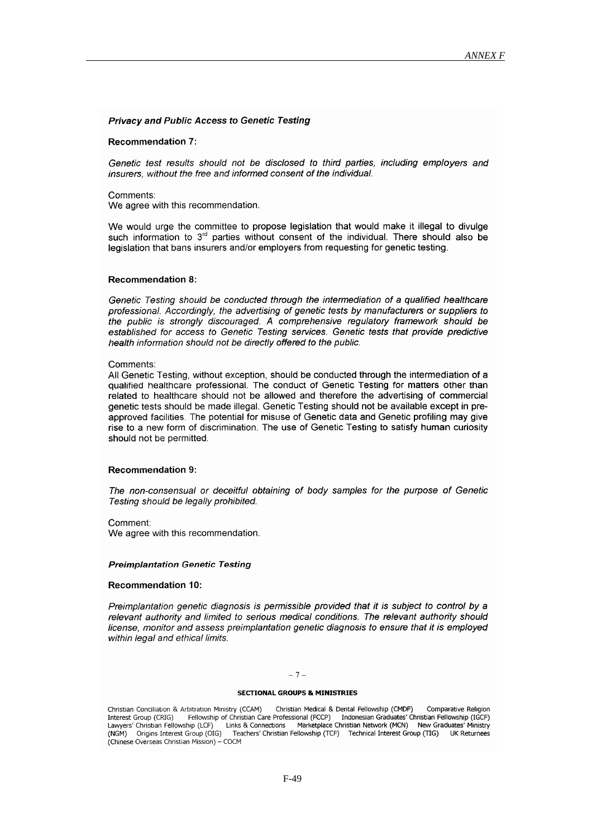# **Privacy and Public Access to Genetic Testing**

#### **Recommendation 7:**

Genetic test results should not be disclosed to third parties, including employers and insurers, without the free and informed consent of the individual.

Comments: We agree with this recommendation.

We would urge the committee to propose legislation that would make it illegal to divulge such information to 3<sup>rd</sup> parties without consent of the individual. There should also be legislation that bans insurers and/or employers from requesting for genetic testing.

#### **Recommendation 8:**

Genetic Testing should be conducted through the intermediation of a qualified healthcare professional. Accordingly, the advertising of genetic tests by manufacturers or suppliers to the public is strongly discouraged. A comprehensive regulatory framework should be established for access to Genetic Testing services. Genetic tests that provide predictive health information should not be directly offered to the public.

# Comments:

All Genetic Testing, without exception, should be conducted through the intermediation of a qualified healthcare professional. The conduct of Genetic Testing for matters other than related to healthcare should not be allowed and therefore the advertising of commercial genetic tests should be made illegal. Genetic Testing should not be available except in preapproved facilities. The potential for misuse of Genetic data and Genetic profiling may give rise to a new form of discrimination. The use of Genetic Testing to satisfy human curiosity should not be permitted.

# **Recommendation 9:**

The non-consensual or deceitful obtaining of body samples for the purpose of Genetic Testing should be legally prohibited.

Comment:

We agree with this recommendation.

#### **Preimplantation Genetic Testing**

# **Recommendation 10:**

Preimplantation genetic diagnosis is permissible provided that it is subject to control by a relevant authority and limited to serious medical conditions. The relevant authority should license, monitor and assess preimplantation genetic diagnosis to ensure that it is employed within legal and ethical limits.

#### $-7-$

#### **SECTIONAL GROUPS & MINISTRIES**

Christian Medical & Dental Fellowship (CMDF) Christian Conciliation & Arbitration Ministry (CCAM) Comparative Religion Fellowship of Christian Care Professional (FCCP) Indonesian Graduates' Christian Fellowship (IGCF) Interest Group (CRIG) Marketplace Christian Network (MCN) New Graduates' Ministry Lawyers' Christian Fellowship (LCF) Links & Connections (NGM) Origins Interest Group (OIG) Teachers' Christian Fellowship (TCF) Technical Interest Group (TIG) UK Returnees (Chinese Overseas Christian Mission) - COCM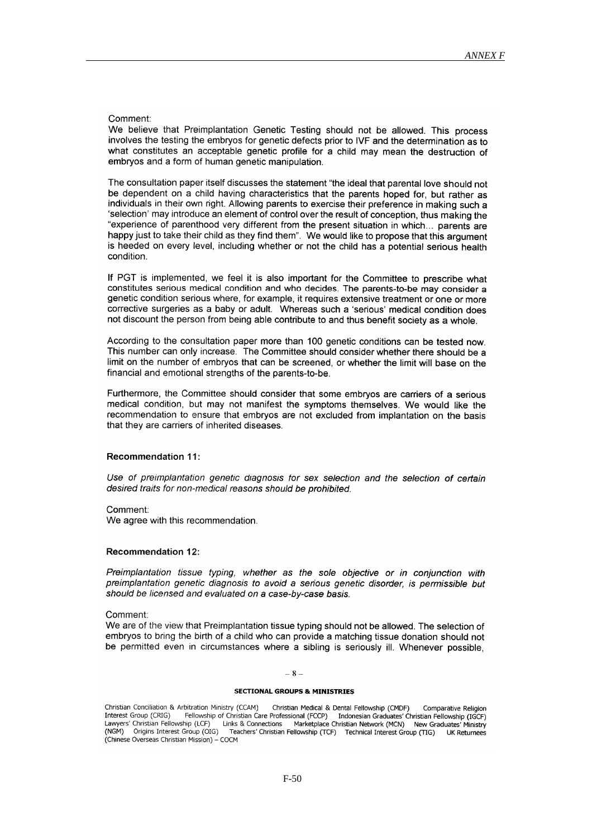#### Comment:

We believe that Preimplantation Genetic Testing should not be allowed. This process involves the testing the embryos for genetic defects prior to IVF and the determination as to what constitutes an acceptable genetic profile for a child may mean the destruction of embryos and a form of human genetic manipulation.

The consultation paper itself discusses the statement "the ideal that parental love should not be dependent on a child having characteristics that the parents hoped for, but rather as individuals in their own right. Allowing parents to exercise their preference in making such a 'selection' may introduce an element of control over the result of conception, thus making the "experience of parenthood very different from the present situation in which... parents are happy just to take their child as they find them". We would like to propose that this argument is heeded on every level, including whether or not the child has a potential serious health condition.

If PGT is implemented, we feel it is also important for the Committee to prescribe what constitutes serious medical condition and who decides. The parents-to-be may consider a genetic condition serious where, for example, it requires extensive treatment or one or more corrective surgeries as a baby or adult. Whereas such a 'serious' medical condition does not discount the person from being able contribute to and thus benefit society as a whole.

According to the consultation paper more than 100 genetic conditions can be tested now. This number can only increase. The Committee should consider whether there should be a limit on the number of embryos that can be screened, or whether the limit will base on the financial and emotional strengths of the parents-to-be.

Furthermore, the Committee should consider that some embryos are carriers of a serious medical condition, but may not manifest the symptoms themselves. We would like the recommendation to ensure that embryos are not excluded from implantation on the basis that they are carriers of inherited diseases.

# **Recommendation 11:**

Use of preimplantation genetic diagnosis for sex selection and the selection of certain desired traits for non-medical reasons should be prohibited.

Comment We agree with this recommendation.

# **Recommendation 12:**

Preimplantation tissue typing, whether as the sole objective or in conjunction with preimplantation genetic diagnosis to avoid a serious genetic disorder, is permissible but should be licensed and evaluated on a case-by-case basis.

# Comment:

We are of the view that Preimplantation tissue typing should not be allowed. The selection of embryos to bring the birth of a child who can provide a matching tissue donation should not be permitted even in circumstances where a sibling is seriously ill. Whenever possible,

#### $-8-$

#### **SECTIONAL GROUPS & MINISTRIES**

Christian Conciliation & Arbitration Ministry (CCAM) Christian Medical & Dental Fellowship (CMDF) Comparative Religion Exploration Control of Christian Care Professional (FCCP) Indonesian Graduates' Christian Fellowship of Christian Care Professional (FCCP) Indonesian Graduates' Christian Fellowship (IGCF)<br>hip (LCF) Links & Connections Mar Interest Group (CRIG) Lawyers' Christian Fellowship (LCF) Teachers' Christian Fellowship (TCF) Technical Interest Group (TIG) (NGM) Origins Interest Group (OIG) UK Returnees (Chinese Overseas Christian Mission) - COCM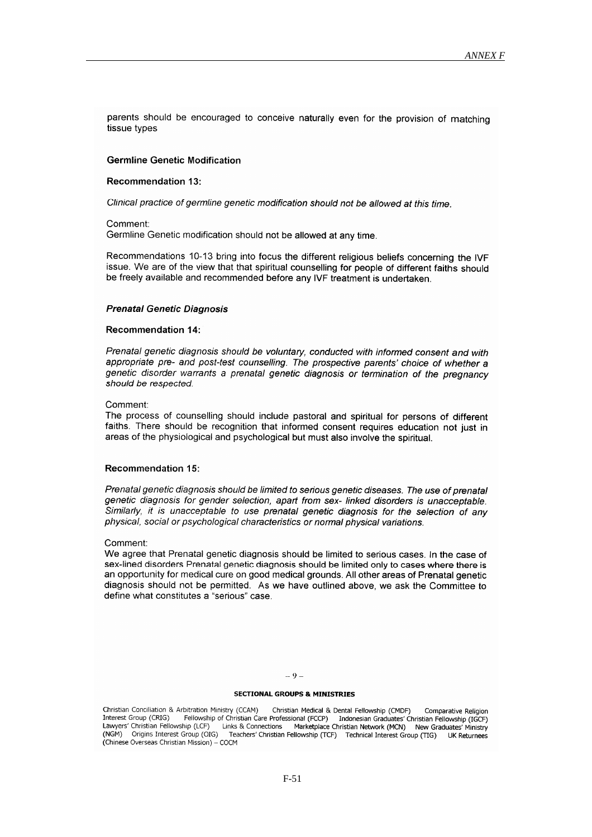parents should be encouraged to conceive naturally even for the provision of matching tissue types

# **Germline Genetic Modification**

#### **Recommendation 13:**

Clinical practice of germline genetic modification should not be allowed at this time.

Comment:

Germline Genetic modification should not be allowed at any time.

Recommendations 10-13 bring into focus the different religious beliefs concerning the IVF issue. We are of the view that that spiritual counselling for people of different faiths should be freely available and recommended before any IVF treatment is undertaken.

# **Prenatal Genetic Diagnosis**

#### **Recommendation 14:**

Prenatal genetic diagnosis should be voluntary, conducted with informed consent and with appropriate pre- and post-test counselling. The prospective parents' choice of whether a genetic disorder warrants a prenatal genetic diagnosis or termination of the pregnancy should be respected.

# Comment:

The process of counselling should include pastoral and spiritual for persons of different faiths. There should be recognition that informed consent requires education not just in areas of the physiological and psychological but must also involve the spiritual.

#### **Recommendation 15:**

Prenatal genetic diagnosis should be limited to serious genetic diseases. The use of prenatal genetic diagnosis for gender selection, apart from sex-linked disorders is unacceptable. Similarly, it is unacceptable to use prenatal genetic diagnosis for the selection of any physical, social or psychological characteristics or normal physical variations.

# Comment:

We agree that Prenatal genetic diagnosis should be limited to serious cases. In the case of sex-lined disorders Prenatal genetic diagnosis should be limited only to cases where there is an opportunity for medical cure on good medical grounds. All other areas of Prenatal genetic diagnosis should not be permitted. As we have outlined above, we ask the Committee to define what constitutes a "serious" case

#### $= 9 =$

# **SECTIONAL GROUPS & MINISTRIES**

Christian Conciliation & Arbitration Ministry (CCAM) Christian Medical & Dental Fellowship (CMDF) Comparative Religion Fellowship of Christian Care Professional (FCCP) Indonesian Graduates' Christian Fellowship (IGCF)<br>Thip (LCF) Links & Connections Marketplace Christian Network (MCN) New Graduates' Ministry Interest Group (CRIG) Lawyers' Christian Fellowship (LCF) (NGM) Origins Interest Group (OIG) Teachers' Christian Fellowship (TCF) Technical Interest Group (TIG) **UK Returnees** (Chinese Overseas Christian Mission) - COCM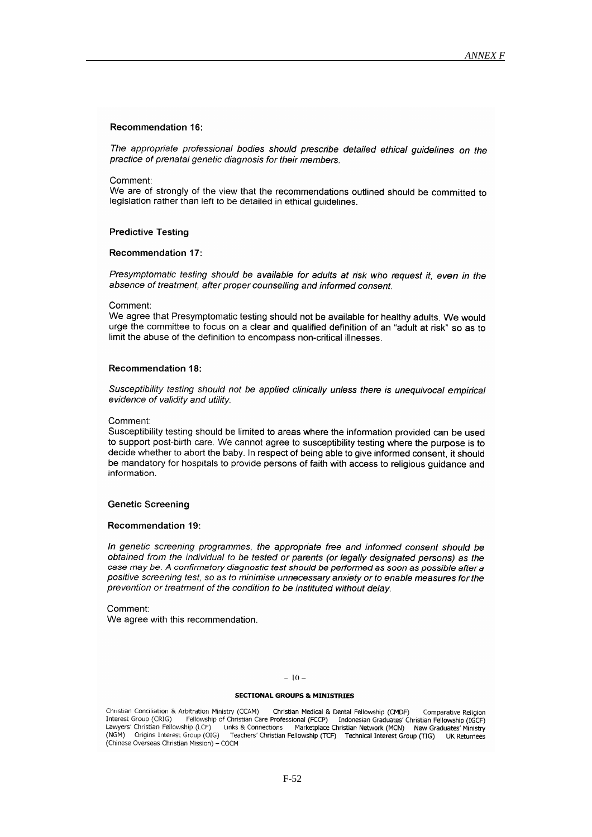# **Recommendation 16:**

The appropriate professional bodies should prescribe detailed ethical guidelines on the practice of prenatal genetic diagnosis for their members.

#### Comment:

We are of strongly of the view that the recommendations outlined should be committed to legislation rather than left to be detailed in ethical guidelines.

# **Predictive Testing**

#### **Recommendation 17:**

Presymptomatic testing should be available for adults at risk who request it, even in the absence of treatment, after proper counselling and informed consent.

#### Comment:

We agree that Presymptomatic testing should not be available for healthy adults. We would urge the committee to focus on a clear and qualified definition of an "adult at risk" so as to limit the abuse of the definition to encompass non-critical illnesses.

# **Recommendation 18:**

Susceptibility testing should not be applied clinically unless there is unequivocal empirical evidence of validity and utility.

# Comment:

Susceptibility testing should be limited to areas where the information provided can be used to support post-birth care. We cannot agree to susceptibility testing where the purpose is to decide whether to abort the baby. In respect of being able to give informed consent, it should be mandatory for hospitals to provide persons of faith with access to religious guidance and information.

# **Genetic Screening**

#### **Recommendation 19:**

In genetic screening programmes, the appropriate free and informed consent should be obtained from the individual to be tested or parents (or legally designated persons) as the case may be. A confirmatory diagnostic test should be performed as soon as possible after a positive screening test, so as to minimise unnecessary anxiety or to enable measures for the prevention or treatment of the condition to be instituted without delay.

Comment: We agree with this recommendation.

# $-10-$

#### **SECTIONAL GROUPS & MINISTRIES**

Christian Conciliation & Arbitration Ministry (CCAM) Christian Medical & Dental Fellowship (CMDF) Comparative Religion Fellowship of Christian Care Professional (FCCP) Indonesian Graduates' Christian Fellowship (IGCF)<br>hip (LCF) Links & Connections Marketplace Christian Network (MCN) New Graduates' Ministry Interest Group (CRIG) analysis Sunisidan Fellowship (LCF) Continuall Care Profession Communistic Communistic Communistic Communistic<br>(NGM) Origins Interest Group (OIG) Teachers' Chainties Teachers' Christian Fellowship (TCF) Technical Interest Group (TIG) UK Returnees (Chinese Overseas Christian Mission) - COCM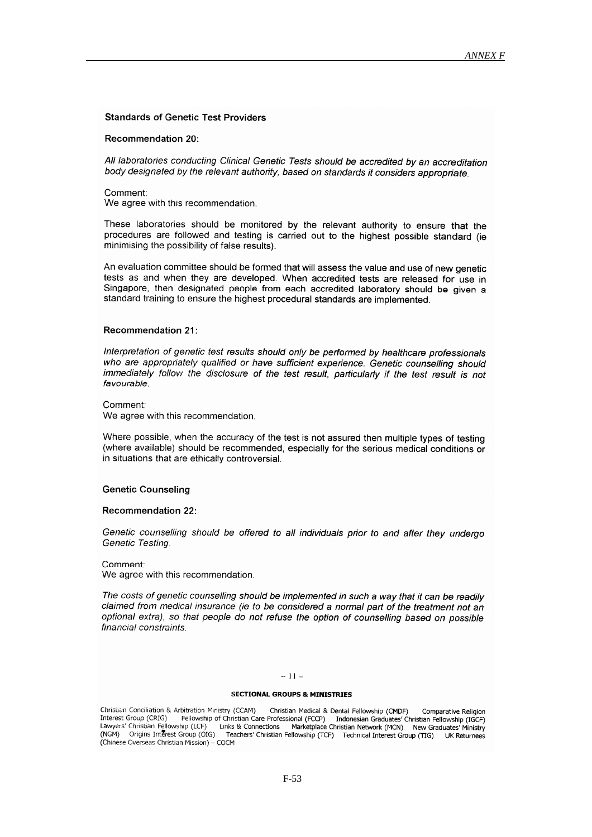# **Standards of Genetic Test Providers**

# Recommendation 20:

All laboratories conducting Clinical Genetic Tests should be accredited by an accreditation body designated by the relevant authority, based on standards it considers appropriate.

# Comment:

We agree with this recommendation.

These laboratories should be monitored by the relevant authority to ensure that the procedures are followed and testing is carried out to the highest possible standard (ie minimising the possibility of false results).

An evaluation committee should be formed that will assess the value and use of new genetic tests as and when they are developed. When accredited tests are released for use in Singapore, then designated people from each accredited laboratory should be given a standard training to ensure the highest procedural standards are implemented.

# **Recommendation 21:**

Interpretation of genetic test results should only be performed by healthcare professionals who are appropriately qualified or have sufficient experience. Genetic counselling should immediately follow the disclosure of the test result, particularly if the test result is not favourable.

Comment:

We agree with this recommendation.

Where possible, when the accuracy of the test is not assured then multiple types of testing (where available) should be recommended, especially for the serious medical conditions or in situations that are ethically controversial.

#### **Genetic Counseling**

#### **Recommendation 22:**

Genetic counselling should be offered to all individuals prior to and after they undergo Genetic Testing

Comment We agree with this recommendation.

The costs of genetic counselling should be implemented in such a way that it can be readily claimed from medical insurance (ie to be considered a normal part of the treatment not an optional extra), so that people do not refuse the option of counselling based on possible financial constraints.

# $-11-$

#### **SECTIONAL GROUPS & MINISTRIES**

Christian Conciliation & Arbitration Ministry (CCAM) Christian Medical & Dental Fellowship (CMDF) Comparative Religion Fellowship of Christian Care Professional (FCCP) Indonesian Graduates' Christian Fellowship (IGCF)<br>Fellowship of Christian Care Professional (FCCP) Indonesian Graduates' Christian Fellowship (IGCF)<br>hip (LCF) Links & Connec Interest Group (CRIG) Lawyers' Christian Fellowship (LCF) (NGM) Origins Interest Group (OIG) Teachers' Christian Fellowship (TCF) Technical Interest Group (TIG) UK Returnees (Chinese Overseas Christian Mission) - COCM